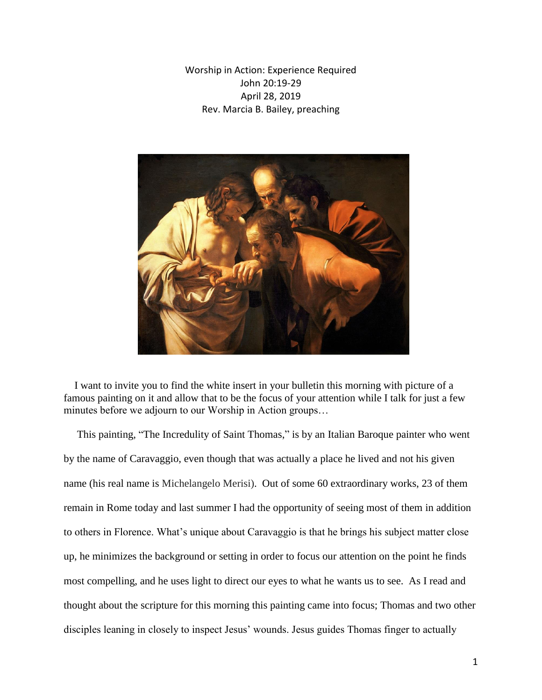Worship in Action: Experience Required John 20:19-29 April 28, 2019 Rev. Marcia B. Bailey, preaching



 I want to invite you to find the white insert in your bulletin this morning with picture of a famous painting on it and allow that to be the focus of your attention while I talk for just a few minutes before we adjourn to our Worship in Action groups…

 This painting, "The Incredulity of Saint Thomas," is by an Italian Baroque painter who went by the name of Caravaggio, even though that was actually a place he lived and not his given name (his real name is Michelangelo Merisi). Out of some 60 extraordinary works, 23 of them remain in Rome today and last summer I had the opportunity of seeing most of them in addition to others in Florence. What's unique about Caravaggio is that he brings his subject matter close up, he minimizes the background or setting in order to focus our attention on the point he finds most compelling, and he uses light to direct our eyes to what he wants us to see. As I read and thought about the scripture for this morning this painting came into focus; Thomas and two other disciples leaning in closely to inspect Jesus' wounds. Jesus guides Thomas finger to actually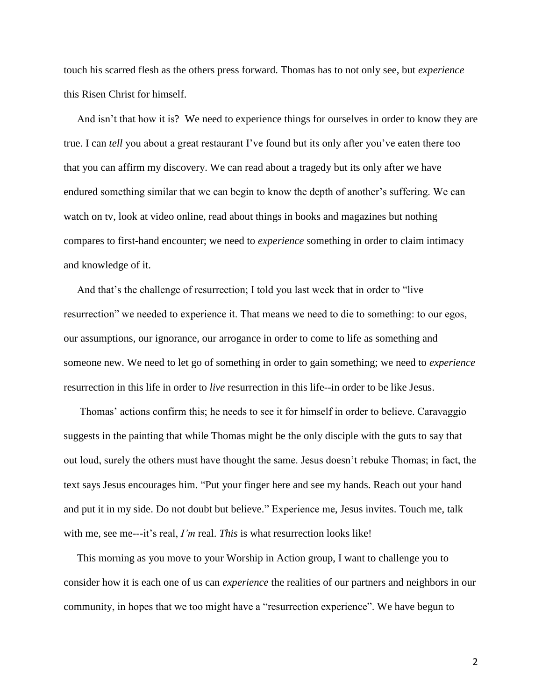touch his scarred flesh as the others press forward. Thomas has to not only see, but *experience* this Risen Christ for himself.

 And isn't that how it is? We need to experience things for ourselves in order to know they are true. I can *tell* you about a great restaurant I've found but its only after you've eaten there too that you can affirm my discovery. We can read about a tragedy but its only after we have endured something similar that we can begin to know the depth of another's suffering. We can watch on tv, look at video online, read about things in books and magazines but nothing compares to first-hand encounter; we need to *experience* something in order to claim intimacy and knowledge of it.

 And that's the challenge of resurrection; I told you last week that in order to "live resurrection" we needed to experience it. That means we need to die to something: to our egos, our assumptions, our ignorance, our arrogance in order to come to life as something and someone new. We need to let go of something in order to gain something; we need to *experience* resurrection in this life in order to *live* resurrection in this life--in order to be like Jesus.

 Thomas' actions confirm this; he needs to see it for himself in order to believe. Caravaggio suggests in the painting that while Thomas might be the only disciple with the guts to say that out loud, surely the others must have thought the same. Jesus doesn't rebuke Thomas; in fact, the text says Jesus encourages him. "Put your finger here and see my hands. Reach out your hand and put it in my side. Do not doubt but believe." Experience me, Jesus invites. Touch me, talk with me, see me---it's real, *I'm* real. *This* is what resurrection looks like!

 This morning as you move to your Worship in Action group, I want to challenge you to consider how it is each one of us can *experience* the realities of our partners and neighbors in our community, in hopes that we too might have a "resurrection experience". We have begun to

2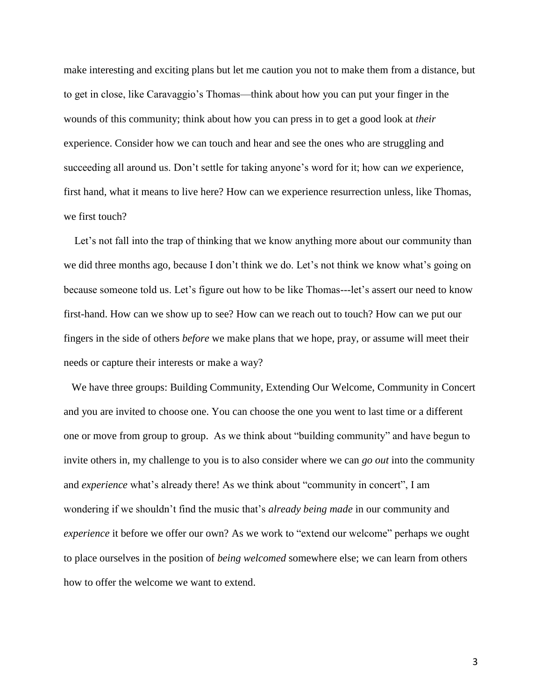make interesting and exciting plans but let me caution you not to make them from a distance, but to get in close, like Caravaggio's Thomas—think about how you can put your finger in the wounds of this community; think about how you can press in to get a good look at *their* experience. Consider how we can touch and hear and see the ones who are struggling and succeeding all around us. Don't settle for taking anyone's word for it; how can *we* experience, first hand, what it means to live here? How can we experience resurrection unless, like Thomas, we first touch?

Let's not fall into the trap of thinking that we know anything more about our community than we did three months ago, because I don't think we do. Let's not think we know what's going on because someone told us. Let's figure out how to be like Thomas---let's assert our need to know first-hand. How can we show up to see? How can we reach out to touch? How can we put our fingers in the side of others *before* we make plans that we hope, pray, or assume will meet their needs or capture their interests or make a way?

 We have three groups: Building Community, Extending Our Welcome, Community in Concert and you are invited to choose one. You can choose the one you went to last time or a different one or move from group to group. As we think about "building community" and have begun to invite others in, my challenge to you is to also consider where we can *go out* into the community and *experience* what's already there! As we think about "community in concert", I am wondering if we shouldn't find the music that's *already being made* in our community and *experience* it before we offer our own? As we work to "extend our welcome" perhaps we ought to place ourselves in the position of *being welcomed* somewhere else; we can learn from others how to offer the welcome we want to extend.